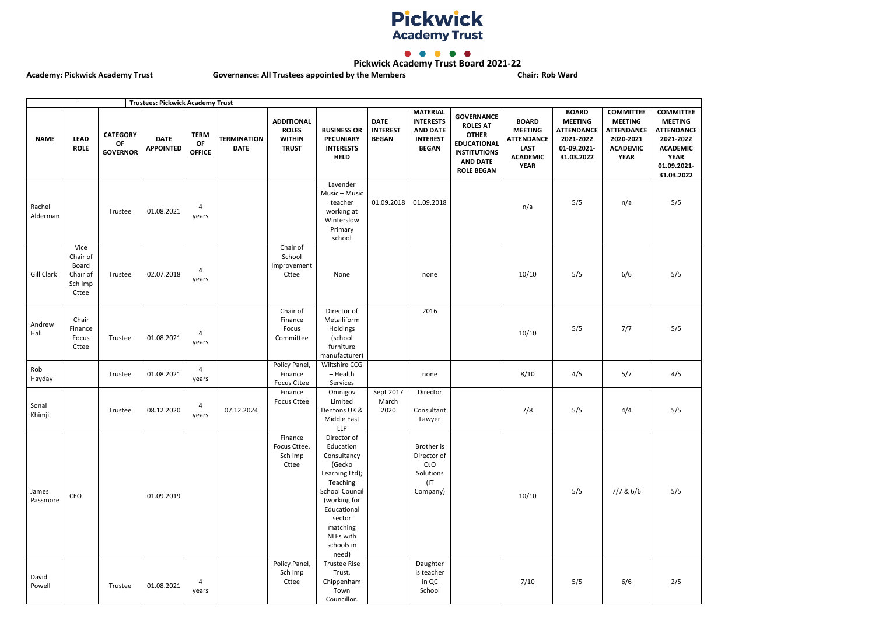



**Pickwick Academy Trust Board 2021-22**

Academy: Pickwick Academy Trust **Governance: All Trustees appointed by the Members Chair: Rob Ward** 



|                    |                                                           |                                          | <b>Trustees: Pickwick Academy Trust</b> |                                    |                                   |                                                                    |                                                                                                                                                                                                   |                                                |                                                                                           |                                                                                                                                           |                                                                                                      |                                                                                               |                                                                                                        |                                                                                                             |
|--------------------|-----------------------------------------------------------|------------------------------------------|-----------------------------------------|------------------------------------|-----------------------------------|--------------------------------------------------------------------|---------------------------------------------------------------------------------------------------------------------------------------------------------------------------------------------------|------------------------------------------------|-------------------------------------------------------------------------------------------|-------------------------------------------------------------------------------------------------------------------------------------------|------------------------------------------------------------------------------------------------------|-----------------------------------------------------------------------------------------------|--------------------------------------------------------------------------------------------------------|-------------------------------------------------------------------------------------------------------------|
| <b>NAME</b>        | <b>LEAD</b><br><b>ROLE</b>                                | <b>CATEGORY</b><br>OF<br><b>GOVERNOR</b> | <b>DATE</b><br><b>APPOINTED</b>         | <b>TERM</b><br>OF<br><b>OFFICE</b> | <b>TERMINATION</b><br><b>DATE</b> | <b>ADDITIONAL</b><br><b>ROLES</b><br><b>WITHIN</b><br><b>TRUST</b> | <b>BUSINESS OR</b><br><b>PECUNIARY</b><br><b>INTERESTS</b><br><b>HELD</b>                                                                                                                         | <b>DATE</b><br><b>INTEREST</b><br><b>BEGAN</b> | <b>MATERIAL</b><br><b>INTERESTS</b><br><b>AND DATE</b><br><b>INTEREST</b><br><b>BEGAN</b> | <b>GOVERNANCE</b><br><b>ROLES AT</b><br><b>OTHER</b><br><b>EDUCATIONAL</b><br><b>INSTITUTIONS</b><br><b>AND DATE</b><br><b>ROLE BEGAN</b> | <b>BOARD</b><br><b>MEETING</b><br><b>ATTENDANCE</b><br><b>LAST</b><br><b>ACADEMIC</b><br><b>YEAR</b> | <b>BOARD</b><br><b>MEETING</b><br><b>ATTENDANCE</b><br>2021-2022<br>01-09.2021-<br>31.03.2022 | <b>COMMITTEE</b><br><b>MEETING</b><br><b>ATTENDANCE</b><br>2020-2021<br><b>ACADEMIC</b><br><b>YEAR</b> | <b>COMMI</b><br><b>MEETI</b><br><b>ATTEND</b><br>2021-2<br><b>ACADE</b><br><b>YEA</b><br>01.09.2<br>31.03.2 |
| Rachel<br>Alderman |                                                           | Trustee                                  | 01.08.2021                              | 4<br>years                         |                                   |                                                                    | Lavender<br>Music - Music<br>teacher<br>working at<br>Winterslow<br>Primary<br>school                                                                                                             | 01.09.2018                                     | 01.09.2018                                                                                |                                                                                                                                           | n/a                                                                                                  | 5/5                                                                                           | n/a                                                                                                    | 5/5                                                                                                         |
| Gill Clark         | Vice<br>Chair of<br>Board<br>Chair of<br>Sch Imp<br>Cttee | Trustee                                  | 02.07.2018                              | $\overline{4}$<br>years            |                                   | Chair of<br>School<br>Improvement<br>Cttee                         | None                                                                                                                                                                                              |                                                | none                                                                                      |                                                                                                                                           | 10/10                                                                                                | 5/5                                                                                           | 6/6                                                                                                    | 5/5                                                                                                         |
| Andrew<br>Hall     | Chair<br>Finance<br>Focus<br>Cttee                        | Trustee                                  | 01.08.2021                              | $\overline{4}$<br>years            |                                   | Chair of<br>Finance<br>Focus<br>Committee                          | Director of<br>Metalliform<br>Holdings<br>(school<br>furniture<br>manufacturer)                                                                                                                   |                                                | 2016                                                                                      |                                                                                                                                           | 10/10                                                                                                | 5/5                                                                                           | 7/7                                                                                                    | 5/5                                                                                                         |
| Rob<br>Hayday      |                                                           | Trustee                                  | 01.08.2021                              | 4<br>years                         |                                   | Policy Panel,<br>Finance<br><b>Focus Cttee</b>                     | Wiltshire CCG<br>$-$ Health<br>Services                                                                                                                                                           |                                                | none                                                                                      |                                                                                                                                           | 8/10                                                                                                 | 4/5                                                                                           | 5/7                                                                                                    | 4/5                                                                                                         |
| Sonal<br>Khimji    |                                                           | Trustee                                  | 08.12.2020                              | 4<br>years                         | 07.12.2024                        | Finance<br><b>Focus Cttee</b>                                      | Omnigov<br>Limited<br>Dentons UK &<br>Middle East<br><b>LLP</b>                                                                                                                                   | Sept 2017<br>March<br>2020                     | Director<br>Consultant<br>Lawyer                                                          |                                                                                                                                           | 7/8                                                                                                  | 5/5                                                                                           | 4/4                                                                                                    | 5/5                                                                                                         |
| James<br>Passmore  | CEO                                                       |                                          | 01.09.2019                              |                                    |                                   | Finance<br>Focus Cttee,<br>Sch Imp<br>Cttee                        | Director of<br>Education<br>Consultancy<br>(Gecko<br>Learning Ltd);<br>Teaching<br><b>School Council</b><br>(working for<br>Educational<br>sector<br>matching<br>NLEs with<br>schools in<br>need) |                                                | Brother is<br>Director of<br>OJO<br>Solutions<br>(IT)<br>Company)                         |                                                                                                                                           | 10/10                                                                                                | 5/5                                                                                           | 7/7 & 6/6                                                                                              | 5/5                                                                                                         |
| David<br>Powell    |                                                           | Trustee                                  | 01.08.2021                              | 4<br>years                         |                                   | Policy Panel,<br>Sch Imp<br>Cttee                                  | <b>Trustee Rise</b><br>Trust.<br>Chippenham<br>Town<br>Councillor.                                                                                                                                |                                                | Daughter<br>is teacher<br>in QC<br>School                                                 |                                                                                                                                           | 7/10                                                                                                 | 5/5                                                                                           | 6/6                                                                                                    | 2/5                                                                                                         |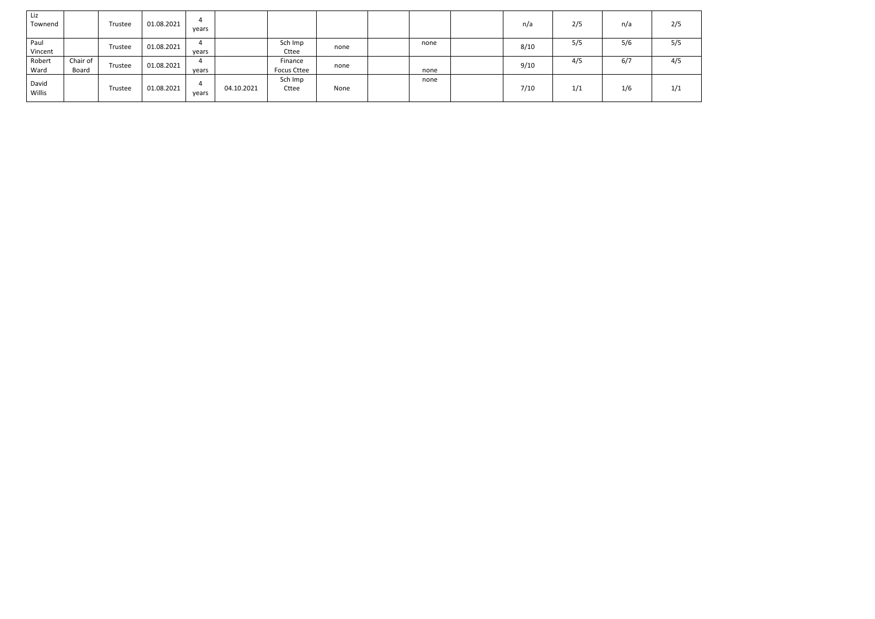| Liz<br>Townend  |                   | Trustee | 01.08.2021 | years |            |                               |      |      | n/a  | 2/5 | n/a | 2/5 |
|-----------------|-------------------|---------|------------|-------|------------|-------------------------------|------|------|------|-----|-----|-----|
| Paul<br>Vincent |                   | Trustee | 01.08.2021 | years |            | Sch Imp<br>Cttee              | none | none | 8/10 | 5/5 | 5/6 | 5/5 |
| Robert<br>Ward  | Chair of<br>Board | Trustee | 01.08.2021 | vears |            | Finance<br><b>Focus Cttee</b> | none | none | 9/10 | 4/5 | 6/7 | 4/5 |
| David<br>Willis |                   | Trustee | 01.08.2021 | years | 04.10.2021 | Sch Imp<br>Cttee              | None | none | 7/10 | 1/1 | 1/6 | 1/1 |

| 2/5 |  |
|-----|--|
| 5/5 |  |
| 4/5 |  |
| 1/1 |  |